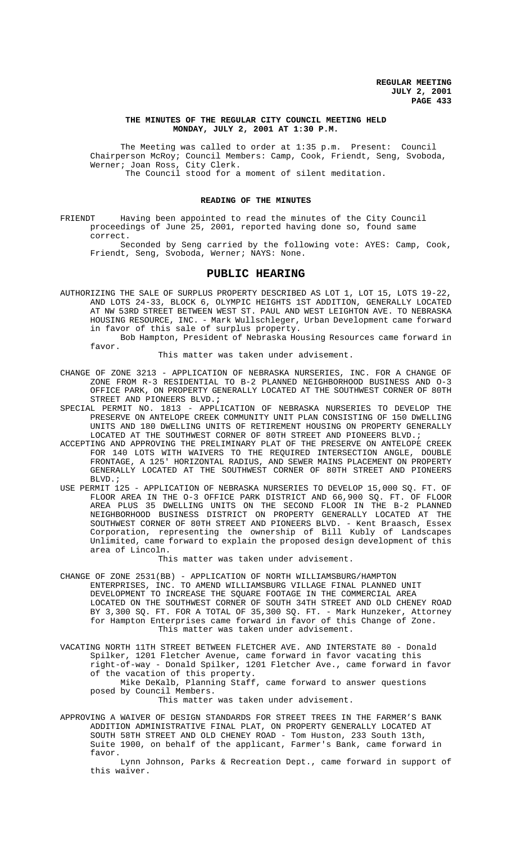## **THE MINUTES OF THE REGULAR CITY COUNCIL MEETING HELD MONDAY, JULY 2, 2001 AT 1:30 P.M.**

The Meeting was called to order at 1:35 p.m. Present: Council Chairperson McRoy; Council Members: Camp, Cook, Friendt, Seng, Svoboda, Werner; Joan Ross, City Clerk. The Council stood for a moment of silent meditation.

## **READING OF THE MINUTES**

FRIENDT Having been appointed to read the minutes of the City Council proceedings of June 25, 2001, reported having done so, found same correct.

Seconded by Seng carried by the following vote: AYES: Camp, Cook, Friendt, Seng, Svoboda, Werner; NAYS: None.

# **PUBLIC HEARING**

AUTHORIZING THE SALE OF SURPLUS PROPERTY DESCRIBED AS LOT 1, LOT 15, LOTS 19-22, AND LOTS 24-33, BLOCK 6, OLYMPIC HEIGHTS 1ST ADDITION, GENERALLY LOCATED AT NW 53RD STREET BETWEEN WEST ST. PAUL AND WEST LEIGHTON AVE. TO NEBRASKA HOUSING RESOURCE, INC. - Mark Wullschleger, Urban Development came forward in favor of this sale of surplus property.

Bob Hampton, President of Nebraska Housing Resources came forward in favor.

This matter was taken under advisement.

- CHANGE OF ZONE 3213 APPLICATION OF NEBRASKA NURSERIES, INC. FOR A CHANGE OF ZONE FROM R-3 RESIDENTIAL TO B-2 PLANNED NEIGHBORHOOD BUSINESS AND O-3 OFFICE PARK, ON PROPERTY GENERALLY LOCATED AT THE SOUTHWEST CORNER OF 80TH STREET AND PIONEERS BLVD.**;**
- SPECIAL PERMIT NO. 1813 APPLICATION OF NEBRASKA NURSERIES TO DEVELOP THE PRESERVE ON ANTELOPE CREEK COMMUNITY UNIT PLAN CONSISTING OF 150 DWELLING UNITS AND 180 DWELLING UNITS OF RETIREMENT HOUSING ON PROPERTY GENERALLY LOCATED AT THE SOUTHWEST CORNER OF 80TH STREET AND PIONEERS BLVD. ;
- ACCEPTING AND APPROVING THE PRELIMINARY PLAT OF THE PRESERVE ON ANTELOPE CREEK FOR 140 LOTS WITH WAIVERS TO THE REQUIRED INTERSECTION ANGLE, DOUBLE FRONTAGE, A 125' HORIZONTAL RADIUS, AND SEWER MAINS PLACEMENT ON PROPERTY GENERALLY LOCATED AT THE SOUTHWEST CORNER OF 80TH STREET AND PIONEERS BLVD.;
- USE PERMIT 125 APPLICATION OF NEBRASKA NURSERIES TO DEVELOP 15,000 SQ. FT. OF FLOOR AREA IN THE O-3 OFFICE PARK DISTRICT AND 66,900 SQ. FT. OF FLOOR AREA PLUS 35 DWELLING UNITS ON THE SECOND FLOOR IN THE B-2 PLANNED NEIGHBORHOOD BUSINESS DISTRICT ON PROPERTY GENERALLY LOCATED AT THE SOUTHWEST CORNER OF 80TH STREET AND PIONEERS BLVD. - Kent Braasch, Essex Corporation, representing the ownership of Bill Kubly of Landscapes Unlimited, came forward to explain the proposed design development of this area of Lincoln.

This matter was taken under advisement.

- CHANGE OF ZONE 2531(BB) APPLICATION OF NORTH WILLIAMSBURG/HAMPTON ENTERPRISES, INC. TO AMEND WILLIAMSBURG VILLAGE FINAL PLANNED UNIT DEVELOPMENT TO INCREASE THE SQUARE FOOTAGE IN THE COMMERCIAL AREA LOCATED ON THE SOUTHWEST CORNER OF SOUTH 34TH STREET AND OLD CHENEY ROAD BY 3,300 SQ. FT. FOR A TOTAL OF 35,300 SQ. FT. - Mark Hunzeker, Attorney for Hampton Enterprises came forward in favor of this Change of Zone. This matter was taken under advisement.
- VACATING NORTH 11TH STREET BETWEEN FLETCHER AVE. AND INTERSTATE 80 Donald Spilker, 1201 Fletcher Avenue, came forward in favor vacating this right-of-way - Donald Spilker, 1201 Fletcher Ave., came forward in favor of the vacation of this property. Mike DeKalb, Planning Staff, came forward to answer questions

posed by Council Members. This matter was taken under advisement.

APPROVING A WAIVER OF DESIGN STANDARDS FOR STREET TREES IN THE FARMER'S BANK ADDITION ADMINISTRATIVE FINAL PLAT, ON PROPERTY GENERALLY LOCATED AT SOUTH 58TH STREET AND OLD CHENEY ROAD - Tom Huston, 233 South 13th, Suite 1900, on behalf of the applicant, Farmer's Bank, came forward in favor.

Lynn Johnson, Parks & Recreation Dept., came forward in support of this waiver.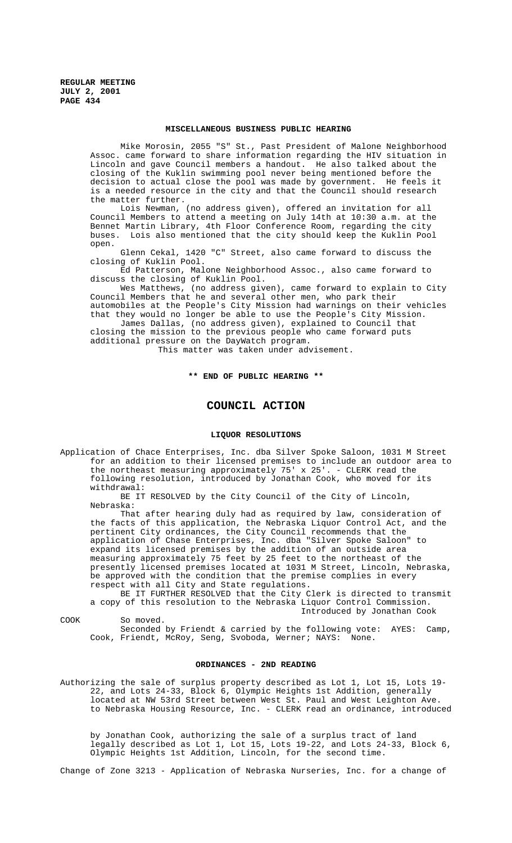#### **MISCELLANEOUS BUSINESS PUBLIC HEARING**

Mike Morosin, 2055 "S" St., Past President of Malone Neighborhood Assoc. came forward to share information regarding the HIV situation in Lincoln and gave Council members a handout. He also talked about the closing of the Kuklin swimming pool never being mentioned before the decision to actual close the pool was made by government. He feels it is a needed resource in the city and that the Council should research the matter further.

Lois Newman, (no address given), offered an invitation for all Council Members to attend a meeting on July 14th at 10:30 a.m. at the Bennet Martin Library, 4th Floor Conference Room, regarding the city buses. Lois also mentioned that the city should keep the Kuklin Pool open.

Glenn Cekal, 1420 "C" Street, also came forward to discuss the closing of Kuklin Pool.

Ed Patterson, Malone Neighborhood Assoc., also came forward to discuss the closing of Kuklin Pool.

Wes Matthews, (no address given), came forward to explain to City Council Members that he and several other men, who park their automobiles at the People's City Mission had warnings on their vehicles

that they would no longer be able to use the People's City Mission. James Dallas, (no address given), explained to Council that closing the mission to the previous people who came forward puts additional pressure on the DayWatch program.

This matter was taken under advisement.

## **\*\* END OF PUBLIC HEARING \*\***

## **COUNCIL ACTION**

#### **LIQUOR RESOLUTIONS**

Application of Chace Enterprises, Inc. dba Silver Spoke Saloon, 1031 M Street for an addition to their licensed premises to include an outdoor area to the northeast measuring approximately 75' x 25'. - CLERK read the following resolution, introduced by Jonathan Cook, who moved for its withdrawal:

BE IT RESOLVED by the City Council of the City of Lincoln, Nebraska:

That after hearing duly had as required by law, consideration of the facts of this application, the Nebraska Liquor Control Act, and the pertinent City ordinances, the City Council recommends that the application of Chase Enterprises, Inc. dba "Silver Spoke Saloon" to expand its licensed premises by the addition of an outside area measuring approximately 75 feet by 25 feet to the northeast of the presently licensed premises located at 1031 M Street, Lincoln, Nebraska, be approved with the condition that the premise complies in every respect with all City and State regulations.

BE IT FURTHER RESOLVED that the City Clerk is directed to transmit a copy of this resolution to the Nebraska Liquor Control Commission. Introduced by Jonathan Cook

COOK So moved.

Seconded by Friendt & carried by the following vote: AYES: Camp, Cook, Friendt, McRoy, Seng, Svoboda, Werner; NAYS: None.

## **ORDINANCES - 2ND READING**

Authorizing the sale of surplus property described as Lot 1, Lot 15, Lots 19- 22, and Lots 24-33, Block 6, Olympic Heights 1st Addition, generally located at NW 53rd Street between West St. Paul and West Leighton Ave. to Nebraska Housing Resource, Inc. - CLERK read an ordinance, introduced

by Jonathan Cook, authorizing the sale of a surplus tract of land legally described as Lot 1, Lot 15, Lots 19-22, and Lots 24-33, Block 6, Olympic Heights 1st Addition, Lincoln, for the second time.

Change of Zone 3213 - Application of Nebraska Nurseries, Inc. for a change of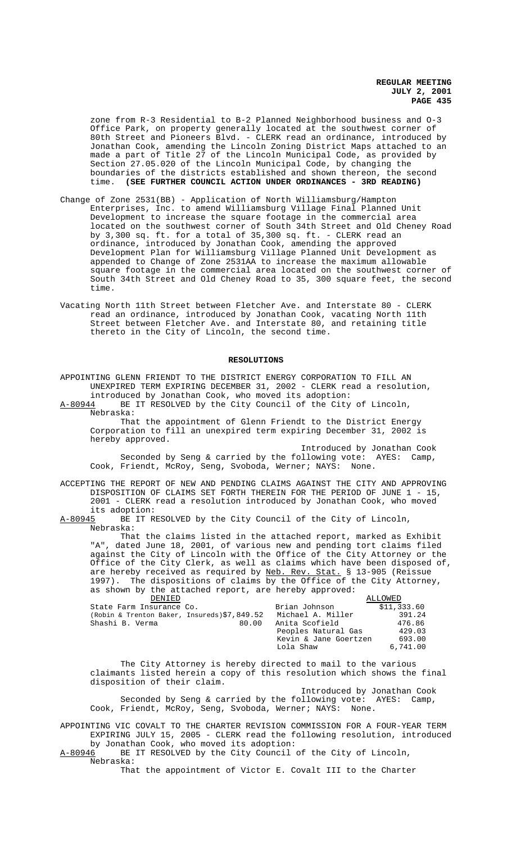zone from R-3 Residential to B-2 Planned Neighborhood business and O-3 Office Park, on property generally located at the southwest corner of 80th Street and Pioneers Blvd. - CLERK read an ordinance, introduced by Jonathan Cook, amending the Lincoln Zoning District Maps attached to an made a part of Title 27 of the Lincoln Municipal Code, as provided by Section 27.05.020 of the Lincoln Municipal Code, by changing the boundaries of the districts established and shown thereon, the second time. **(SEE FURTHER COUNCIL ACTION UNDER ORDINANCES - 3RD READING)**

- Change of Zone 2531(BB) Application of North Williamsburg/Hampton Enterprises, Inc. to amend Williamsburg Village Final Planned Unit Development to increase the square footage in the commercial area located on the southwest corner of South 34th Street and Old Cheney Road by 3,300 sq. ft. for a total of 35,300 sq. ft. - CLERK read an ordinance, introduced by Jonathan Cook, amending the approved Development Plan for Williamsburg Village Planned Unit Development as appended to Change of Zone 2531AA to increase the maximum allowable square footage in the commercial area located on the southwest corner of South 34th Street and Old Cheney Road to 35, 300 square feet, the second time.
- Vacating North 11th Street between Fletcher Ave. and Interstate 80 CLERK read an ordinance, introduced by Jonathan Cook, vacating North 11th Street between Fletcher Ave. and Interstate 80, and retaining title thereto in the City of Lincoln, the second time.

### **RESOLUTIONS**

APPOINTING GLENN FRIENDT TO THE DISTRICT ENERGY CORPORATION TO FILL AN UNEXPIRED TERM EXPIRING DECEMBER 31, 2002 - CLERK read a resolution, introduced by Jonathan Cook, who moved its adoption:<br>A-80944 BE IT RESOLVED by the City Council of the City

BE IT RESOLVED by the City Council of the City of Lincoln, Nebraska: That the appointment of Glenn Friendt to the District Energy

Corporation to fill an unexpired term expiring December 31, 2002 is hereby approved.

Introduced by Jonathan Cook Seconded by Seng & carried by the following vote: AYES: Camp, Cook, Friendt, McRoy, Seng, Svoboda, Werner; NAYS: None.

ACCEPTING THE REPORT OF NEW AND PENDING CLAIMS AGAINST THE CITY AND APPROVING DISPOSITION OF CLAIMS SET FORTH THEREIN FOR THE PERIOD OF JUNE 1 - 15, 2001 - CLERK read a resolution introduced by Jonathan Cook, who moved its adoption:

A-80945 BE IT RESOLVED by the City Council of the City of Lincoln, Nebraska:

That the claims listed in the attached report, marked as Exhibit "A", dated June 18, 2001, of various new and pending tort claims filed against the City of Lincoln with the Office of the City Attorney or the Office of the City Clerk, as well as claims which have been disposed of, are hereby received as required by Neb. Rev. Stat. § 13-905 (Reissue 1997). The dispositions of claims by the Office of the City Attorney, as shown by the attached report, are hereby approved:

| DENIED                                      |                       | ALLOWED     |
|---------------------------------------------|-----------------------|-------------|
| State Farm Insurance Co.                    | Brian Johnson         | \$11,333.60 |
| (Robin & Trenton Baker, Insureds)\$7,849.52 | Michael A. Miller     | 391.24      |
| Shashi B. Verma<br>80.00                    | Anita Scofield        | 476.86      |
|                                             | Peoples Natural Gas   | 429.03      |
|                                             | Kevin & Jane Goertzen | 693.00      |
|                                             | Lola Shaw             | 6,741.00    |

The City Attorney is hereby directed to mail to the various claimants listed herein a copy of this resolution which shows the final disposition of their claim.

Introduced by Jonathan Cook Seconded by Seng & carried by the following vote: AYES: Camp, Cook, Friendt, McRoy, Seng, Svoboda, Werner; NAYS: None.

APPOINTING VIC COVALT TO THE CHARTER REVISION COMMISSION FOR A FOUR-YEAR TERM EXPIRING JULY 15, 2005 - CLERK read the following resolution, introduced by Jonathan Cook, who moved its adoption:

A-80946 BE IT RESOLVED by the City Council of the City of Lincoln, Nebraska:

That the appointment of Victor E. Covalt III to the Charter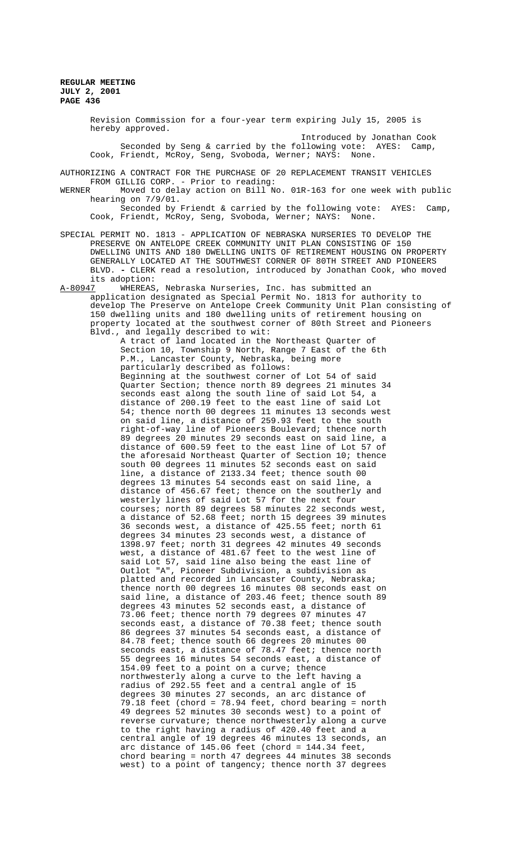Revision Commission for a four-year term expiring July 15, 2005 is hereby approved.

Introduced by Jonathan Cook Seconded by Seng & carried by the following vote: AYES: Camp, Cook, Friendt, McRoy, Seng, Svoboda, Werner; NAYS: None.

AUTHORIZING A CONTRACT FOR THE PURCHASE OF 20 REPLACEMENT TRANSIT VEHICLES FROM GILLIG CORP. - Prior to reading:<br>WERNER Moved to delay action on Bill N

Moved to delay action on Bill No. 01R-163 for one week with public hearing on 7/9/01.

Seconded by Friendt & carried by the following vote: AYES: Camp, Cook, Friendt, McRoy, Seng, Svoboda, Werner; NAYS: None.

SPECIAL PERMIT NO. 1813 - APPLICATION OF NEBRASKA NURSERIES TO DEVELOP THE PRESERVE ON ANTELOPE CREEK COMMUNITY UNIT PLAN CONSISTING OF 150 DWELLING UNITS AND 180 DWELLING UNITS OF RETIREMENT HOUSING ON PROPERTY GENERALLY LOCATED AT THE SOUTHWEST CORNER OF 80TH STREET AND PIONEERS BLVD. **-** CLERK read a resolution, introduced by Jonathan Cook, who moved its adoption:<br>A-80947 WHEREAS

A-80947 WHEREAS, Nebraska Nurseries, Inc. has submitted an application designated as Special Permit No. 1813 for authority to develop The Preserve on Antelope Creek Community Unit Plan consisting of 150 dwelling units and 180 dwelling units of retirement housing on property located at the southwest corner of 80th Street and Pioneers Blvd., and legally described to wit:

A tract of land located in the Northeast Quarter of Section 10, Township 9 North, Range 7 East of the 6th P.M., Lancaster County, Nebraska, being more particularly described as follows: Beginning at the southwest corner of Lot 54 of said Quarter Section; thence north 89 degrees 21 minutes 34 seconds east along the south line of said Lot 54, a distance of 200.19 feet to the east line of said Lot 54; thence north 00 degrees 11 minutes 13 seconds west on said line, a distance of 259.93 feet to the south right-of-way line of Pioneers Boulevard; thence north 89 degrees 20 minutes 29 seconds east on said line, a distance of 600.59 feet to the east line of Lot 57 of the aforesaid Northeast Quarter of Section 10; thence south 00 degrees 11 minutes 52 seconds east on said line, a distance of 2133.34 feet; thence south 00 degrees 13 minutes 54 seconds east on said line, a distance of 456.67 feet; thence on the southerly and westerly lines of said Lot 57 for the next four courses; north 89 degrees 58 minutes 22 seconds west, a distance of 52.68 feet; north 15 degrees 39 minutes 36 seconds west, a distance of 425.55 feet; north 61 degrees 34 minutes 23 seconds west, a distance of 1398.97 feet; north 31 degrees 42 minutes 49 seconds west, a distance of 481.67 feet to the west line of said Lot 57, said line also being the east line of Outlot "A", Pioneer Subdivision, a subdivision as platted and recorded in Lancaster County, Nebraska; thence north 00 degrees 16 minutes 08 seconds east on said line, a distance of 203.46 feet; thence south 89 degrees 43 minutes 52 seconds east, a distance of 73.06 feet; thence north 79 degrees 07 minutes 47 seconds east, a distance of 70.38 feet; thence south 86 degrees 37 minutes 54 seconds east, a distance of 84.78 feet; thence south 66 degrees 20 minutes 00 seconds east, a distance of 78.47 feet; thence north 55 degrees 16 minutes 54 seconds east, a distance of 154.09 feet to a point on a curve; thence northwesterly along a curve to the left having a radius of 292.55 feet and a central angle of 15 degrees 30 minutes 27 seconds, an arc distance of 79.18 feet (chord = 78.94 feet, chord bearing = north 49 degrees 52 minutes 30 seconds west) to a point of reverse curvature; thence northwesterly along a curve to the right having a radius of 420.40 feet and a central angle of 19 degrees 46 minutes 13 seconds, an arc distance of 145.06 feet (chord = 144.34 feet, chord bearing = north 47 degrees 44 minutes 38 seconds west) to a point of tangency; thence north 37 degrees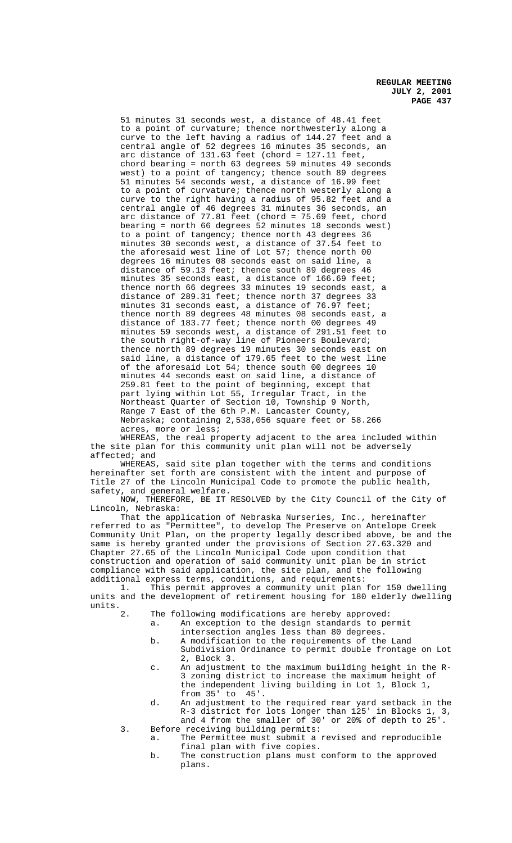51 minutes 31 seconds west, a distance of 48.41 feet to a point of curvature; thence northwesterly along a curve to the left having a radius of 144.27 feet and a central angle of 52 degrees 16 minutes 35 seconds, an arc distance of 131.63 feet (chord = 127.11 feet, chord bearing = north 63 degrees 59 minutes 49 seconds west) to a point of tangency; thence south 89 degrees 51 minutes 54 seconds west, a distance of 16.99 feet to a point of curvature; thence north westerly along a curve to the right having a radius of 95.82 feet and a central angle of 46 degrees 31 minutes 36 seconds, an arc distance of 77.81 feet (chord = 75.69 feet, chord bearing = north 66 degrees 52 minutes 18 seconds west) to a point of tangency; thence north 43 degrees 36 minutes 30 seconds west, a distance of 37.54 feet to the aforesaid west line of Lot 57; thence north 00 degrees 16 minutes 08 seconds east on said line, a distance of 59.13 feet; thence south 89 degrees 46 minutes 35 seconds east, a distance of 166.69 feet; thence north 66 degrees 33 minutes 19 seconds east, a distance of 289.31 feet; thence north 37 degrees 33 minutes 31 seconds east, a distance of 76.97 feet; thence north 89 degrees 48 minutes 08 seconds east, a distance of 183.77 feet; thence north 00 degrees 49 minutes 59 seconds west, a distance of 291.51 feet to the south right-of-way line of Pioneers Boulevard; thence north 89 degrees 19 minutes 30 seconds east on said line, a distance of 179.65 feet to the west line of the aforesaid Lot 54; thence south 00 degrees 10 minutes 44 seconds east on said line, a distance of 259.81 feet to the point of beginning, except that part lying within Lot 55, Irregular Tract, in the Northeast Quarter of Section 10, Township 9 North, Range 7 East of the 6th P.M. Lancaster County, Nebraska; containing 2,538,056 square feet or 58.266 acres, more or less;

WHEREAS, the real property adjacent to the area included within the site plan for this community unit plan will not be adversely affected; and

WHEREAS, said site plan together with the terms and conditions hereinafter set forth are consistent with the intent and purpose of Title 27 of the Lincoln Municipal Code to promote the public health, safety, and general welfare.

NOW, THEREFORE, BE IT RESOLVED by the City Council of the City of Lincoln, Nebraska:

That the application of Nebraska Nurseries, Inc., hereinafter referred to as "Permittee", to develop The Preserve on Antelope Creek Community Unit Plan, on the property legally described above, be and the same is hereby granted under the provisions of Section 27.63.320 and Chapter 27.65 of the Lincoln Municipal Code upon condition that construction and operation of said community unit plan be in strict compliance with said application, the site plan, and the following additional express terms, conditions, and requirements:

1. This permit approves a community unit plan for 150 dwelling units and the development of retirement housing for 180 elderly dwelling units.

The following modifications are hereby approved:

a. An exception to the design standards to permit intersection angles less than 80 degrees.

- b. A modification to the requirements of the Land Subdivision Ordinance to permit double frontage on Lot 2, Block 3.
- c. An adjustment to the maximum building height in the R-3 zoning district to increase the maximum height of the independent living building in Lot 1, Block 1, from 35' to 45'.
- d. An adjustment to the required rear yard setback in the R-3 district for lots longer than 125' in Blocks 1, 3, and 4 from the smaller of 30' or 20% of depth to 25'.
- 3. Before receiving building permits: a. The Permittee must submit a revised and reproducible final plan with five copies.
	- b. The construction plans must conform to the approved plans.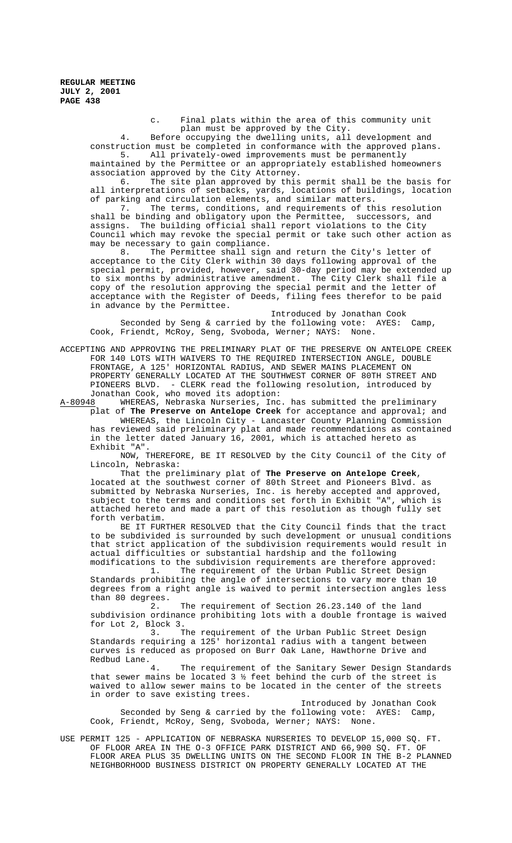> c. Final plats within the area of this community unit plan must be approved by the City.

4. Before occupying the dwelling units, all development and construction must be completed in conformance with the approved plans. 5. All privately-owed improvements must be permanently

maintained by the Permittee or an appropriately established homeowners association approved by the City Attorney.

6. The site plan approved by this permit shall be the basis for all interpretations of setbacks, yards, locations of buildings, location of parking and circulation elements, and similar matters.

7. The terms, conditions, and requirements of this resolution shall be binding and obligatory upon the Permittee, successors, and assigns. The building official shall report violations to the City Council which may revoke the special permit or take such other action as may be necessary to gain compliance.

8. The Permittee shall sign and return the City's letter of acceptance to the City Clerk within 30 days following approval of the special permit, provided, however, said 30-day period may be extended up to six months by administrative amendment. The City Clerk shall file a copy of the resolution approving the special permit and the letter of acceptance with the Register of Deeds, filing fees therefor to be paid in advance by the Permittee.

Introduced by Jonathan Cook Seconded by Seng & carried by the following vote: AYES: Camp, Cook, Friendt, McRoy, Seng, Svoboda, Werner; NAYS: None.

ACCEPTING AND APPROVING THE PRELIMINARY PLAT OF THE PRESERVE ON ANTELOPE CREEK FOR 140 LOTS WITH WAIVERS TO THE REQUIRED INTERSECTION ANGLE, DOUBLE FRONTAGE, A 125' HORIZONTAL RADIUS, AND SEWER MAINS PLACEMENT ON PROPERTY GENERALLY LOCATED AT THE SOUTHWEST CORNER OF 80TH STREET AND PIONEERS BLVD. - CLERK read the following resolution, introduced by Jonathan Cook, who moved its adoption:

A-80948 MHEREAS, Nebraska Nurseries, Inc. has submitted the preliminary plat of **The Preserve on Antelope Creek** for acceptance and approval; and WHEREAS, the Lincoln City - Lancaster County Planning Commission has reviewed said preliminary plat and made recommendations as contained

in the letter dated January 16, 2001, which is attached hereto as Exhibit "A". NOW, THEREFORE, BE IT RESOLVED by the City Council of the City of

Lincoln, Nebraska:

That the preliminary plat of **The Preserve on Antelope Creek**, located at the southwest corner of 80th Street and Pioneers Blvd. as submitted by Nebraska Nurseries, Inc. is hereby accepted and approved, subject to the terms and conditions set forth in Exhibit "A", which is attached hereto and made a part of this resolution as though fully set forth verbatim.

BE IT FURTHER RESOLVED that the City Council finds that the tract to be subdivided is surrounded by such development or unusual conditions that strict application of the subdivision requirements would result in actual difficulties or substantial hardship and the following modifications to the subdivision requirements are therefore approved:

1. The requirement of the Urban Public Street Design Standards prohibiting the angle of intersections to vary more than 10 degrees from a right angle is waived to permit intersection angles less than 80 degrees.

2. The requirement of Section 26.23.140 of the land subdivision ordinance prohibiting lots with a double frontage is waived for Lot 2, Block  $3.$  T

The requirement of the Urban Public Street Design Standards requiring a 125' horizontal radius with a tangent between curves is reduced as proposed on Burr Oak Lane, Hawthorne Drive and Redbud Lane.

4. The requirement of the Sanitary Sewer Design Standards that sewer mains be located 3 ½ feet behind the curb of the street is waived to allow sewer mains to be located in the center of the streets in order to save existing trees.

Introduced by Jonathan Cook Seconded by Seng & carried by the following vote: AYES: Camp, Cook, Friendt, McRoy, Seng, Svoboda, Werner; NAYS: None.

USE PERMIT 125 - APPLICATION OF NEBRASKA NURSERIES TO DEVELOP 15,000 SQ. FT. OF FLOOR AREA IN THE O-3 OFFICE PARK DISTRICT AND 66,900 SQ. FT. OF FLOOR AREA PLUS 35 DWELLING UNITS ON THE SECOND FLOOR IN THE B-2 PLANNED NEIGHBORHOOD BUSINESS DISTRICT ON PROPERTY GENERALLY LOCATED AT THE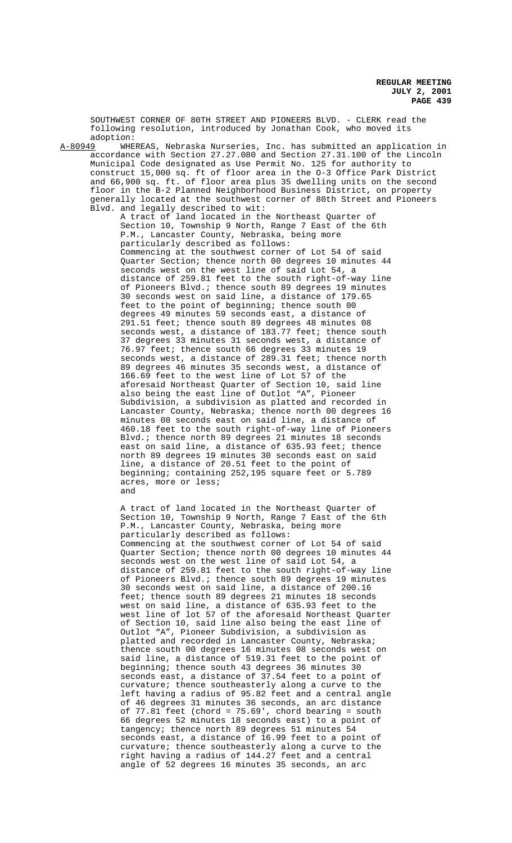SOUTHWEST CORNER OF 80TH STREET AND PIONEERS BLVD. - CLERK read the following resolution, introduced by Jonathan Cook, who moved its

adoption:<br>A-80949 WHE A-80949 WHEREAS, Nebraska Nurseries, Inc. has submitted an application in accordance with Section 27.27.080 and Section 27.31.100 of the Lincoln Municipal Code designated as Use Permit No. 125 for authority to construct 15,000 sq. ft of floor area in the O-3 Office Park District and 66,900 sq. ft. of floor area plus 35 dwelling units on the second floor in the B-2 Planned Neighborhood Business District, on property generally located at the southwest corner of 80th Street and Pioneers Blvd. and legally described to wit:

A tract of land located in the Northeast Quarter of Section 10, Township 9 North, Range 7 East of the 6th P.M., Lancaster County, Nebraska, being more particularly described as follows: Commencing at the southwest corner of Lot 54 of said Quarter Section; thence north 00 degrees 10 minutes 44 seconds west on the west line of said Lot 54, a distance of 259.81 feet to the south right-of-way line of Pioneers Blvd.; thence south 89 degrees 19 minutes 30 seconds west on said line, a distance of 179.65 feet to the point of beginning; thence south 00 degrees 49 minutes 59 seconds east, a distance of 291.51 feet; thence south 89 degrees 48 minutes 08 seconds west, a distance of 183.77 feet; thence south 37 degrees 33 minutes 31 seconds west, a distance of 76.97 feet; thence south 66 degrees 33 minutes 19 seconds west, a distance of 289.31 feet; thence north 89 degrees 46 minutes 35 seconds west, a distance of 166.69 feet to the west line of Lot 57 of the aforesaid Northeast Quarter of Section 10, said line also being the east line of Outlot "A", Pioneer Subdivision, a subdivision as platted and recorded in Lancaster County, Nebraska; thence north 00 degrees 16 minutes 08 seconds east on said line, a distance of 460.18 feet to the south right-of-way line of Pioneers Blvd.; thence north 89 degrees 21 minutes 18 seconds east on said line, a distance of 635.93 feet; thence north 89 degrees 19 minutes 30 seconds east on said line, a distance of 20.51 feet to the point of beginning; containing 252,195 square feet or 5.789 acres, more or less; and

A tract of land located in the Northeast Quarter of Section 10, Township 9 North, Range 7 East of the 6th P.M., Lancaster County, Nebraska, being more particularly described as follows: Commencing at the southwest corner of Lot 54 of said Quarter Section; thence north 00 degrees 10 minutes 44 seconds west on the west line of said Lot 54, a distance of 259.81 feet to the south right-of-way line of Pioneers Blvd.; thence south 89 degrees 19 minutes 30 seconds west on said line, a distance of 200.16 feet; thence south 89 degrees 21 minutes 18 seconds west on said line, a distance of 635.93 feet to the west line of lot 57 of the aforesaid Northeast Quarter of Section 10, said line also being the east line of Outlot "A", Pioneer Subdivision, a subdivision as platted and recorded in Lancaster County, Nebraska; thence south 00 degrees 16 minutes 08 seconds west on said line, a distance of 519.31 feet to the point of beginning; thence south 43 degrees 36 minutes 30 seconds east, a distance of 37.54 feet to a point of curvature; thence southeasterly along a curve to the left having a radius of 95.82 feet and a central angle of 46 degrees 31 minutes 36 seconds, an arc distance of 77.81 feet (chord = 75.69', chord bearing = south 66 degrees 52 minutes 18 seconds east) to a point of tangency; thence north 89 degrees 51 minutes 54 seconds east, a distance of 16.99 feet to a point of curvature; thence southeasterly along a curve to the right having a radius of 144.27 feet and a central angle of 52 degrees 16 minutes 35 seconds, an arc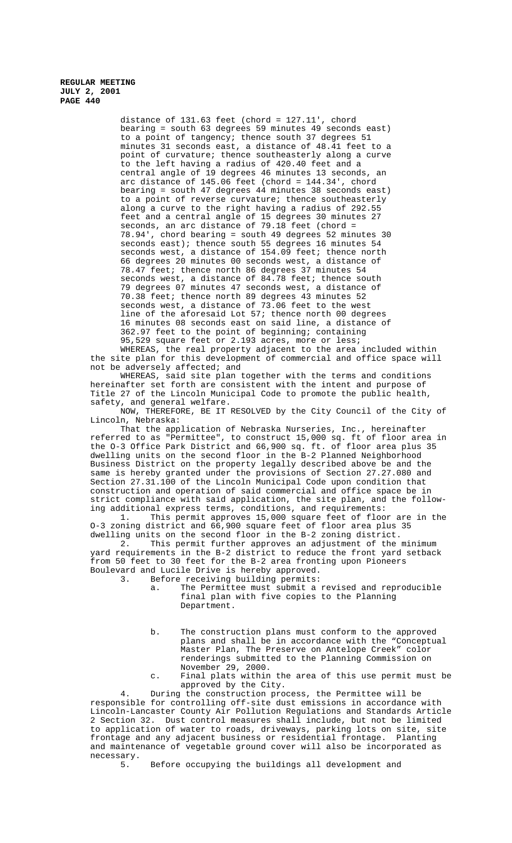distance of 131.63 feet (chord = 127.11', chord bearing = south 63 degrees 59 minutes 49 seconds east) to a point of tangency; thence south 37 degrees 51 minutes 31 seconds east, a distance of 48.41 feet to a point of curvature; thence southeasterly along a curve to the left having a radius of 420.40 feet and a central angle of 19 degrees 46 minutes 13 seconds, an arc distance of 145.06 feet (chord = 144.34', chord bearing = south 47 degrees 44 minutes 38 seconds east) to a point of reverse curvature; thence southeasterly along a curve to the right having a radius of 292.55 feet and a central angle of 15 degrees 30 minutes 27 seconds, an arc distance of 79.18 feet (chord = 78.94', chord bearing = south 49 degrees 52 minutes 30 seconds east); thence south 55 degrees 16 minutes 54 seconds west, a distance of 154.09 feet; thence north 66 degrees 20 minutes 00 seconds west, a distance of 78.47 feet; thence north 86 degrees 37 minutes 54 seconds west, a distance of 84.78 feet; thence south 79 degrees 07 minutes 47 seconds west, a distance of 70.38 feet; thence north 89 degrees 43 minutes 52 seconds west, a distance of 73.06 feet to the west line of the aforesaid Lot 57; thence north 00 degrees 16 minutes 08 seconds east on said line, a distance of 362.97 feet to the point of beginning; containing 95,529 square feet or 2.193 acres, more or less; WHEREAS, the real property adjacent to the area included within

the site plan for this development of commercial and office space will not be adversely affected; and

WHEREAS, said site plan together with the terms and conditions hereinafter set forth are consistent with the intent and purpose of Title 27 of the Lincoln Municipal Code to promote the public health, safety, and general welfare.

NOW, THEREFORE, BE IT RESOLVED by the City Council of the City of Lincoln, Nebraska:

That the application of Nebraska Nurseries, Inc., hereinafter referred to as "Permittee", to construct 15,000 sq. ft of floor area in the O-3 Office Park District and 66,900 sq. ft. of floor area plus 35 dwelling units on the second floor in the B-2 Planned Neighborhood Business District on the property legally described above be and the same is hereby granted under the provisions of Section 27.27.080 and Section 27.31.100 of the Lincoln Municipal Code upon condition that construction and operation of said commercial and office space be in strict compliance with said application, the site plan, and the following additional express terms, conditions, and requirements:

1. This permit approves 15,000 square feet of floor are in the O-3 zoning district and 66,900 square feet of floor area plus 35

dwelling units on the second floor in the B-2 zoning district.<br>2. This permit further approves an adjustment of the This permit further approves an adjustment of the minimum yard requirements in the B-2 district to reduce the front yard setback from 50 feet to 30 feet for the B-2 area fronting upon Pioneers Boulevard and Lucile Drive is hereby approved.

Before receiving building permits:

- a. The Permittee must submit a revised and reproducible final plan with five copies to the Planning Department.
- b. The construction plans must conform to the approved plans and shall be in accordance with the "Conceptual Master Plan, The Preserve on Antelope Creek" color renderings submitted to the Planning Commission on November 29, 2000.
- c. Final plats within the area of this use permit must be approved by the City.

4. During the construction process, the Permittee will be responsible for controlling off-site dust emissions in accordance with Lincoln-Lancaster County Air Pollution Regulations and Standards Article 2 Section 32. Dust control measures shall include, but not be limited to application of water to roads, driveways, parking lots on site, site frontage and any adjacent business or residential frontage. Planting and maintenance of vegetable ground cover will also be incorporated as necessary.<br>5.

5. Before occupying the buildings all development and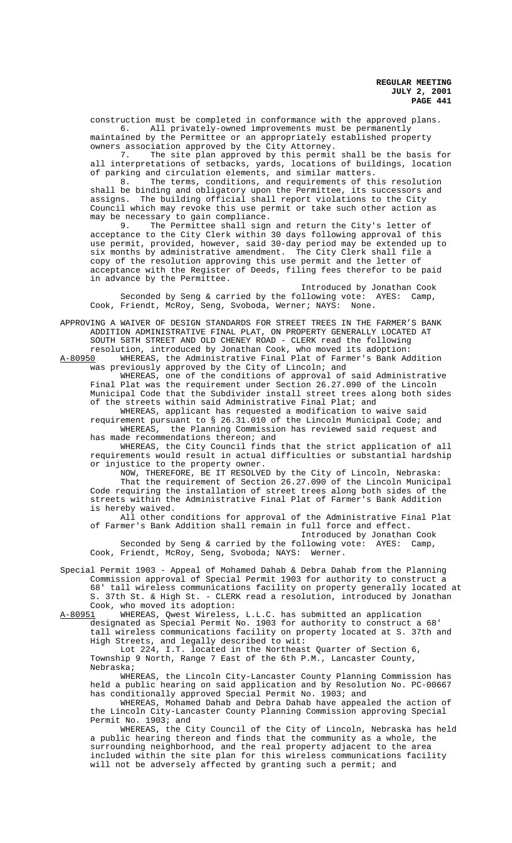construction must be completed in conformance with the approved plans. 6. All privately-owned improvements must be permanently

maintained by the Permittee or an appropriately established property owners association approved by the City Attorney.

7. The site plan approved by this permit shall be the basis for all interpretations of setbacks, yards, locations of buildings, location

of parking and circulation elements, and similar matters.<br>8. The terms, conditions, and requirements of th The terms, conditions, and requirements of this resolution shall be binding and obligatory upon the Permittee, its successors and assigns. The building official shall report violations to the City Council which may revoke this use permit or take such other action as may be necessary to gain compliance.<br>9. The Permittee shall sign

The Permittee shall sign and return the City's letter of acceptance to the City Clerk within 30 days following approval of this use permit, provided, however, said 30-day period may be extended up to six months by administrative amendment. The City Clerk shall file a copy of the resolution approving this use permit and the letter of acceptance with the Register of Deeds, filing fees therefor to be paid in advance by the Permittee.

Introduced by Jonathan Cook Seconded by Seng & carried by the following vote: AYES: Camp, Cook, Friendt, McRoy, Seng, Svoboda, Werner; NAYS: None.

APPROVING A WAIVER OF DESIGN STANDARDS FOR STREET TREES IN THE FARMER'S BANK ADDITION ADMINISTRATIVE FINAL PLAT, ON PROPERTY GENERALLY LOCATED AT SOUTH 58TH STREET AND OLD CHENEY ROAD - CLERK read the following resolution, introduced by Jonathan Cook, who moved its adoption:

A-80950 WHEREAS, the Administrative Final Plat of Farmer's Bank Addition was previously approved by the City of Lincoln; and WHEREAS, one of the conditions of approval of said Administrative

Final Plat was the requirement under Section 26.27.090 of the Lincoln Municipal Code that the Subdivider install street trees along both sides of the streets within said Administrative Final Plat; and

WHEREAS, applicant has requested a modification to waive said requirement pursuant to § 26.31.010 of the Lincoln Municipal Code; and WHEREAS, the Planning Commission has reviewed said request and has made recommendations thereon; and

WHEREAS, the City Council finds that the strict application of all requirements would result in actual difficulties or substantial hardship or injustice to the property owner.

NOW, THEREFORE, BE IT RESOLVED by the City of Lincoln, Nebraska: That the requirement of Section 26.27.090 of the Lincoln Municipal Code requiring the installation of street trees along both sides of the streets within the Administrative Final Plat of Farmer's Bank Addition is hereby waived.

All other conditions for approval of the Administrative Final Plat of Farmer's Bank Addition shall remain in full force and effect. Introduced by Jonathan Cook

Seconded by Seng & carried by the following vote: AYES: Camp, Cook, Friendt, McRoy, Seng, Svoboda; NAYS: Werner.

Special Permit 1903 - Appeal of Mohamed Dahab & Debra Dahab from the Planning Commission approval of Special Permit 1903 for authority to construct a 68' tall wireless communications facility on property generally located at S. 37th St. & High St. - CLERK read a resolution, introduced by Jonathan Cook, who moved its adoption:

A-80951 WHEREAS, Qwest Wireless, L.L.C. has submitted an application designated as Special Permit No. 1903 for authority to construct a 68' tall wireless communications facility on property located at S. 37th and High Streets, and legally described to wit:

Lot 224, I.T. located in the Northeast Quarter of Section 6, Township 9 North, Range 7 East of the 6th P.M., Lancaster County, Nebraska;

WHEREAS, the Lincoln City-Lancaster County Planning Commission has held a public hearing on said application and by Resolution No. PC-00667 has conditionally approved Special Permit No. 1903; and

WHEREAS, Mohamed Dahab and Debra Dahab have appealed the action of the Lincoln City-Lancaster County Planning Commission approving Special Permit No. 1903; and

WHEREAS, the City Council of the City of Lincoln, Nebraska has held a public hearing thereon and finds that the community as a whole, the surrounding neighborhood, and the real property adjacent to the area included within the site plan for this wireless communications facility will not be adversely affected by granting such a permit; and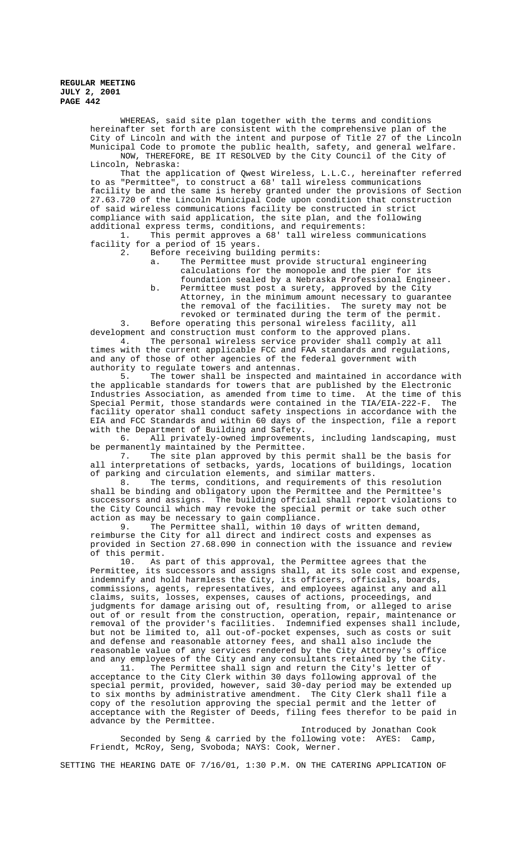> WHEREAS, said site plan together with the terms and conditions hereinafter set forth are consistent with the comprehensive plan of the City of Lincoln and with the intent and purpose of Title 27 of the Lincoln Municipal Code to promote the public health, safety, and general welfare. NOW, THEREFORE, BE IT RESOLVED by the City Council of the City of Lincoln, Nebraska:

> That the application of Qwest Wireless, L.L.C., hereinafter referred to as "Permittee", to construct a 68' tall wireless communications facility be and the same is hereby granted under the provisions of Section 27.63.720 of the Lincoln Municipal Code upon condition that construction of said wireless communications facility be constructed in strict compliance with said application, the site plan, and the following additional express terms, conditions, and requirements:

1. This permit approves a 68' tall wireless communications facility for a period of 15 years.

2. Before receiving building permits:

a. The Permittee must provide structural engineering calculations for the monopole and the pier for its foundation sealed by a Nebraska Professional Engineer.

b. Permittee must post a surety, approved by the City Attorney, in the minimum amount necessary to guarantee the removal of the facilities. The surety may not be revoked or terminated during the term of the permit.

3. Before operating this personal wireless facility, all development and construction must conform to the approved plans.

4. The personal wireless service provider shall comply at all times with the current applicable FCC and FAA standards and regulations, and any of those of other agencies of the federal government with authority to regulate towers and antennas.

5. The tower shall be inspected and maintained in accordance with the applicable standards for towers that are published by the Electronic Industries Association, as amended from time to time. At the time of this Special Permit, those standards were contained in the TIA/EIA-222-F. The facility operator shall conduct safety inspections in accordance with the EIA and FCC Standards and within 60 days of the inspection, file a report with the Department of Building and Safety.<br>6. All privately-owned improvement

6. All privately-owned improvements, including landscaping, must be permanently maintained by the Permittee.

7. The site plan approved by this permit shall be the basis for all interpretations of setbacks, yards, locations of buildings, location of parking and circulation elements, and similar matters.

8. The terms, conditions, and requirements of this resolution shall be binding and obligatory upon the Permittee and the Permittee's successors and assigns. The building official shall report violations to the City Council which may revoke the special permit or take such other action as may be necessary to gain compliance.

9. The Permittee shall, within 10 days of written demand, reimburse the City for all direct and indirect costs and expenses as provided in Section 27.68.090 in connection with the issuance and review of this permit.<br> $10.$  As

As part of this approval, the Permittee agrees that the Permittee, its successors and assigns shall, at its sole cost and expense, indemnify and hold harmless the City, its officers, officials, boards, commissions, agents, representatives, and employees against any and all claims, suits, losses, expenses, causes of actions, proceedings, and judgments for damage arising out of, resulting from, or alleged to arise out of or result from the construction, operation, repair, maintenance or removal of the provider's facilities. Indemnified expenses shall include, but not be limited to, all out-of-pocket expenses, such as costs or suit and defense and reasonable attorney fees, and shall also include the reasonable value of any services rendered by the City Attorney's office and any employees of the City and any consultants retained by the City.<br>11. The Permittee shall sign and return the City's letter of

The Permittee shall sign and return the City's letter of acceptance to the City Clerk within 30 days following approval of the special permit, provided, however, said 30-day period may be extended up to six months by administrative amendment. The City Clerk shall file a copy of the resolution approving the special permit and the letter of acceptance with the Register of Deeds, filing fees therefor to be paid in advance by the Permittee.

Introduced by Jonathan Cook Seconded by Seng & carried by the following vote: AYES: Camp, Friendt, McRoy, Seng, Svoboda; NAYS: Cook, Werner.

SETTING THE HEARING DATE OF 7/16/01, 1:30 P.M. ON THE CATERING APPLICATION OF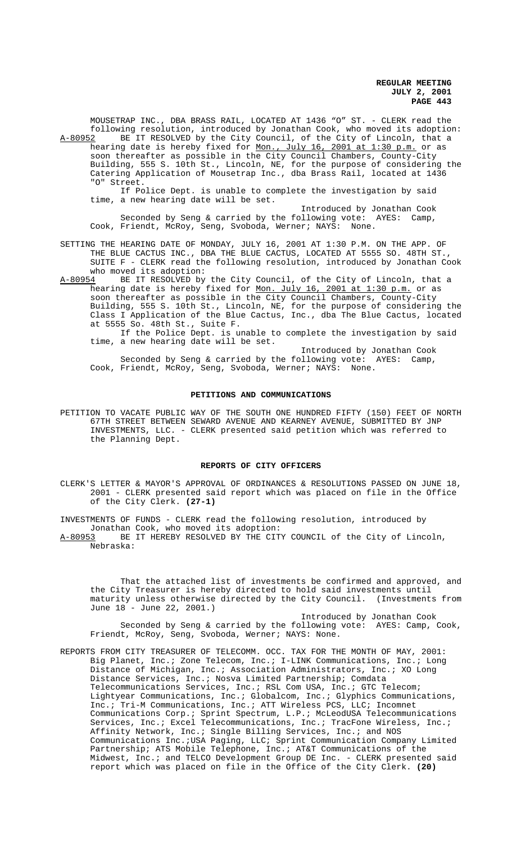MOUSETRAP INC., DBA BRASS RAIL, LOCATED AT 1436 "O" ST. - CLERK read the following resolution, introduced by Jonathan Cook, who moved its adoption: A-80952 BE IT RESOLVED by the City Council, of the City of Lincoln, that a

hearing date is hereby fixed for <u>Mon., July 16, 2001 at 1:30 p.m.</u> or as soon thereafter as possible in the City Council Chambers, County-City Building, 555 S. 10th St., Lincoln, NE, for the purpose of considering the Catering Application of Mousetrap Inc., dba Brass Rail, located at 1436 "O" Street.

If Police Dept. is unable to complete the investigation by said time, a new hearing date will be set.

Introduced by Jonathan Cook Seconded by Seng & carried by the following vote: AYES: Camp, Cook, Friendt, McRoy, Seng, Svoboda, Werner; NAYS: None.

SETTING THE HEARING DATE OF MONDAY, JULY 16, 2001 AT 1:30 P.M. ON THE APP. OF THE BLUE CACTUS INC., DBA THE BLUE CACTUS, LOCATED AT 5555 SO. 48TH ST., SUITE F - CLERK read the following resolution, introduced by Jonathan Cook who moved its adoption:

A-80954 BE IT RESOLVED by the City Council, of the City of Lincoln, that a hearing date is hereby fixed for Mon. July 16, 2001 at 1:30 p.m. or as soon thereafter as possible in the City Council Chambers, County-City Building, 555 S. 10th St., Lincoln, NE, for the purpose of considering the Class I Application of the Blue Cactus, Inc., dba The Blue Cactus, located at 5555 So. 48th St., Suite F.

If the Police Dept. is unable to complete the investigation by said time, a new hearing date will be set.

Introduced by Jonathan Cook Seconded by Seng & carried by the following vote: AYES: Camp, Cook, Friendt, McRoy, Seng, Svoboda, Werner; NAYS: None.

### **PETITIONS AND COMMUNICATIONS**

PETITION TO VACATE PUBLIC WAY OF THE SOUTH ONE HUNDRED FIFTY (150) FEET OF NORTH 67TH STREET BETWEEN SEWARD AVENUE AND KEARNEY AVENUE, SUBMITTED BY JNP INVESTMENTS, LLC. - CLERK presented said petition which was referred to the Planning Dept.

## **REPORTS OF CITY OFFICERS**

CLERK'S LETTER & MAYOR'S APPROVAL OF ORDINANCES & RESOLUTIONS PASSED ON JUNE 18, 2001 - CLERK presented said report which was placed on file in the Office of the City Clerk. **(27-1)**

INVESTMENTS OF FUNDS - CLERK read the following resolution, introduced by

Jonathan Cook, who moved its adoption:

A-80953 BE IT HEREBY RESOLVED BY THE CITY COUNCIL of the City of Lincoln, Nebraska:

That the attached list of investments be confirmed and approved, and the City Treasurer is hereby directed to hold said investments until maturity unless otherwise directed by the City Council. (Investments from June 18 - June 22, 2001.)

Introduced by Jonathan Cook Seconded by Seng & carried by the following vote: AYES: Camp, Cook, Friendt, McRoy, Seng, Svoboda, Werner; NAYS: None.

REPORTS FROM CITY TREASURER OF TELECOMM. OCC. TAX FOR THE MONTH OF MAY, 2001: Big Planet, Inc.; Zone Telecom, Inc.; I-LINK Communications, Inc.; Long Distance of Michigan, Inc.; Association Administrators, Inc.; XO Long Distance Services, Inc.; Nosva Limited Partnership; Comdata Telecommunications Services, Inc.; RSL Com USA, Inc.; GTC Telecom; Lightyear Communications, Inc.; Globalcom, Inc.; Glyphics Communications, Inc.; Tri-M Communications, Inc.; ATT Wireless PCS, LLC; Incomnet Communications Corp.; Sprint Spectrum, L.P.; McLeodUSA Telecommunications Services, Inc.; Excel Telecommunications, Inc.; TracFone Wireless, Inc.; Affinity Network, Inc.; Single Billing Services, Inc.; and NOS Communications Inc.;USA Paging, LLC; Sprint Communication Company Limited Partnership; ATS Mobile Telephone, Inc.; AT&T Communications of the Midwest, Inc.; and TELCO Development Group DE Inc. - CLERK presented said report which was placed on file in the Office of the City Clerk. **(20)**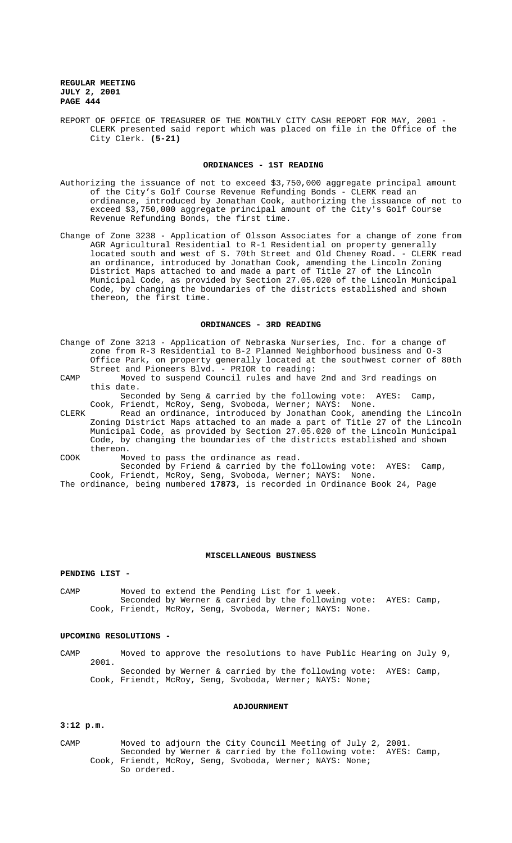REPORT OF OFFICE OF TREASURER OF THE MONTHLY CITY CASH REPORT FOR MAY, 2001 - CLERK presented said report which was placed on file in the Office of the City Clerk. **(5-21)**

### **ORDINANCES - 1ST READING**

- Authorizing the issuance of not to exceed \$3,750,000 aggregate principal amount of the City's Golf Course Revenue Refunding Bonds - CLERK read an ordinance, introduced by Jonathan Cook, authorizing the issuance of not to exceed \$3,750,000 aggregate principal amount of the City's Golf Course Revenue Refunding Bonds, the first time.
- Change of Zone 3238 Application of Olsson Associates for a change of zone from AGR Agricultural Residential to R-1 Residential on property generally located south and west of S. 70th Street and Old Cheney Road. - CLERK read an ordinance, introduced by Jonathan Cook, amending the Lincoln Zoning District Maps attached to and made a part of Title 27 of the Lincoln Municipal Code, as provided by Section 27.05.020 of the Lincoln Municipal Code, by changing the boundaries of the districts established and shown thereon, the first time.

### **ORDINANCES - 3RD READING**

- Change of Zone 3213 Application of Nebraska Nurseries, Inc. for a change of zone from R-3 Residential to B-2 Planned Neighborhood business and O-3 Office Park, on property generally located at the southwest corner of 80th Street and Pioneers Blvd. - PRIOR to reading:
- CAMP Moved to suspend Council rules and have 2nd and 3rd readings on this date.

Seconded by Seng & carried by the following vote: AYES: Camp, Cook, Friendt, McRoy, Seng, Svoboda, Werner; NAYS: None.

CLERK Read an ordinance, introduced by Jonathan Cook, amending the Lincoln Zoning District Maps attached to an made a part of Title 27 of the Lincoln Municipal Code, as provided by Section 27.05.020 of the Lincoln Municipal Code, by changing the boundaries of the districts established and shown thereon.

COOK Moved to pass the ordinance as read.

Seconded by Friend & carried by the following vote: AYES: Camp, Cook, Friendt, McRoy, Seng, Svoboda, Werner; NAYS: None.

The ordinance, being numbered **17873**, is recorded in Ordinance Book 24, Page

## **MISCELLANEOUS BUSINESS**

### **PENDING LIST -**

CAMP Moved to extend the Pending List for 1 week. Seconded by Werner & carried by the following vote: AYES: Camp, Cook, Friendt, McRoy, Seng, Svoboda, Werner; NAYS: None.

## **UPCOMING RESOLUTIONS -**

CAMP Moved to approve the resolutions to have Public Hearing on July 9, 2001. Seconded by Werner & carried by the following vote: AYES: Camp, Cook, Friendt, McRoy, Seng, Svoboda, Werner; NAYS: None;

#### **ADJOURNMENT**

## **3:12 p.m.**

CAMP Moved to adjourn the City Council Meeting of July 2, 2001. Seconded by Werner & carried by the following vote: AYES: Camp, Cook, Friendt, McRoy, Seng, Svoboda, Werner; NAYS: None; So ordered.